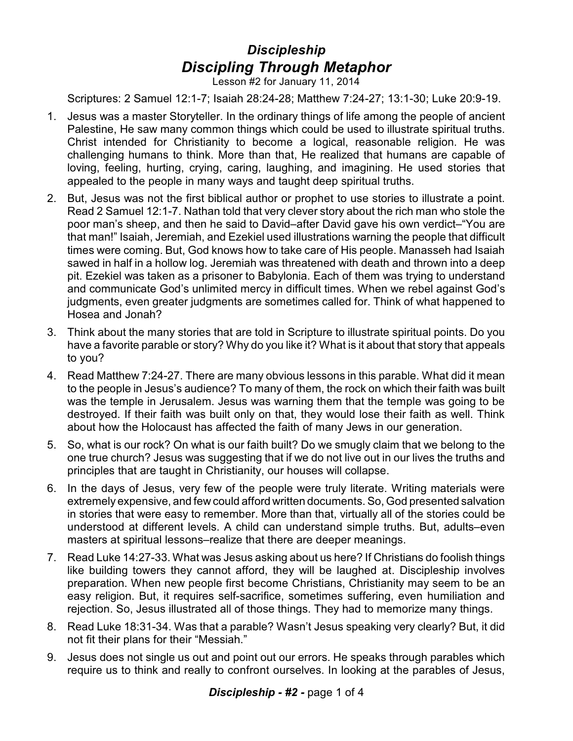## *Discipleship Discipling Through Metaphor*

Lesson #2 for January 11, 2014

Scriptures: 2 Samuel 12:1-7; Isaiah 28:24-28; Matthew 7:24-27; 13:1-30; Luke 20:9-19.

- 1. Jesus was a master Storyteller. In the ordinary things of life among the people of ancient Palestine, He saw many common things which could be used to illustrate spiritual truths. Christ intended for Christianity to become a logical, reasonable religion. He was challenging humans to think. More than that, He realized that humans are capable of loving, feeling, hurting, crying, caring, laughing, and imagining. He used stories that appealed to the people in many ways and taught deep spiritual truths.
- 2. But, Jesus was not the first biblical author or prophet to use stories to illustrate a point. Read 2 Samuel 12:1-7. Nathan told that very clever story about the rich man who stole the poor man's sheep, and then he said to David–after David gave his own verdict–"You are that man!" Isaiah, Jeremiah, and Ezekiel used illustrations warning the people that difficult times were coming. But, God knows how to take care of His people. Manasseh had Isaiah sawed in half in a hollow log. Jeremiah was threatened with death and thrown into a deep pit. Ezekiel was taken as a prisoner to Babylonia. Each of them was trying to understand and communicate God's unlimited mercy in difficult times. When we rebel against God's judgments, even greater judgments are sometimes called for. Think of what happened to Hosea and Jonah?
- 3. Think about the many stories that are told in Scripture to illustrate spiritual points. Do you have a favorite parable or story? Why do you like it? What is it about that story that appeals to you?
- 4. Read Matthew 7:24-27. There are many obvious lessons in this parable. What did it mean to the people in Jesus's audience? To many of them, the rock on which their faith was built was the temple in Jerusalem. Jesus was warning them that the temple was going to be destroyed. If their faith was built only on that, they would lose their faith as well. Think about how the Holocaust has affected the faith of many Jews in our generation.
- 5. So, what is our rock? On what is our faith built? Do we smugly claim that we belong to the one true church? Jesus was suggesting that if we do not live out in our lives the truths and principles that are taught in Christianity, our houses will collapse.
- 6. In the days of Jesus, very few of the people were truly literate. Writing materials were extremely expensive, and few could afford written documents. So, God presented salvation in stories that were easy to remember. More than that, virtually all of the stories could be understood at different levels. A child can understand simple truths. But, adults–even masters at spiritual lessons–realize that there are deeper meanings.
- 7. Read Luke 14:27-33. What was Jesus asking about us here? If Christians do foolish things like building towers they cannot afford, they will be laughed at. Discipleship involves preparation. When new people first become Christians, Christianity may seem to be an easy religion. But, it requires self-sacrifice, sometimes suffering, even humiliation and rejection. So, Jesus illustrated all of those things. They had to memorize many things.
- 8. Read Luke 18:31-34. Was that a parable? Wasn't Jesus speaking very clearly? But, it did not fit their plans for their "Messiah."
- 9. Jesus does not single us out and point out our errors. He speaks through parables which require us to think and really to confront ourselves. In looking at the parables of Jesus,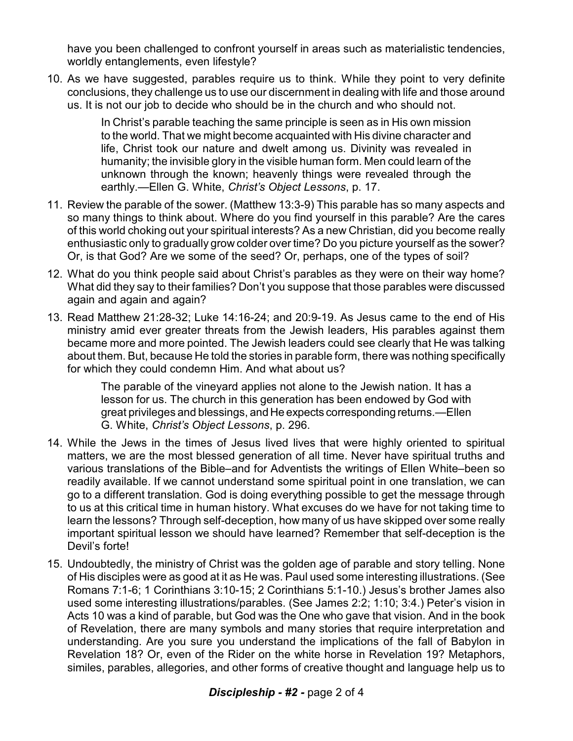have you been challenged to confront yourself in areas such as materialistic tendencies, worldly entanglements, even lifestyle?

10. As we have suggested, parables require us to think. While they point to very definite conclusions, they challenge us to use our discernment in dealing with life and those around us. It is not our job to decide who should be in the church and who should not.

> In Christ's parable teaching the same principle is seen as in His own mission to the world. That we might become acquainted with His divine character and life, Christ took our nature and dwelt among us. Divinity was revealed in humanity; the invisible glory in the visible human form. Men could learn of the unknown through the known; heavenly things were revealed through the earthly.—Ellen G. White, *Christ's Object Lessons*, p. 17.

- 11. Review the parable of the sower. (Matthew 13:3-9) This parable has so many aspects and so many things to think about. Where do you find yourself in this parable? Are the cares of this world choking out your spiritual interests? As a new Christian, did you become really enthusiastic only to gradually grow colder over time? Do you picture yourself as the sower? Or, is that God? Are we some of the seed? Or, perhaps, one of the types of soil?
- 12. What do you think people said about Christ's parables as they were on their way home? What did they say to their families? Don't you suppose that those parables were discussed again and again and again?
- 13. Read Matthew 21:28-32; Luke 14:16-24; and 20:9-19. As Jesus came to the end of His ministry amid ever greater threats from the Jewish leaders, His parables against them became more and more pointed. The Jewish leaders could see clearly that He was talking about them. But, because He told the stories in parable form, there was nothing specifically for which they could condemn Him. And what about us?

The parable of the vineyard applies not alone to the Jewish nation. It has a lesson for us. The church in this generation has been endowed by God with great privileges and blessings, and He expects correspondingreturns.—Ellen G. White, *Christ's Object Lessons*, p. 296.

- 14. While the Jews in the times of Jesus lived lives that were highly oriented to spiritual matters, we are the most blessed generation of all time. Never have spiritual truths and various translations of the Bible–and for Adventists the writings of Ellen White–been so readily available. If we cannot understand some spiritual point in one translation, we can go to a different translation. God is doing everything possible to get the message through to us at this critical time in human history. What excuses do we have for not taking time to learn the lessons? Through self-deception, how many of us have skipped over some really important spiritual lesson we should have learned? Remember that self-deception is the Devil's forte!
- 15. Undoubtedly, the ministry of Christ was the golden age of parable and story telling. None of His disciples were as good at it as He was. Paul used some interesting illustrations. (See Romans 7:1-6; 1 Corinthians 3:10-15; 2 Corinthians 5:1-10.) Jesus's brother James also used some interesting illustrations/parables. (See James 2:2; 1:10; 3:4.) Peter's vision in Acts 10 was a kind of parable, but God was the One who gave that vision. And in the book of Revelation, there are many symbols and many stories that require interpretation and understanding. Are you sure you understand the implications of the fall of Babylon in Revelation 18? Or, even of the Rider on the white horse in Revelation 19? Metaphors, similes, parables, allegories, and other forms of creative thought and language help us to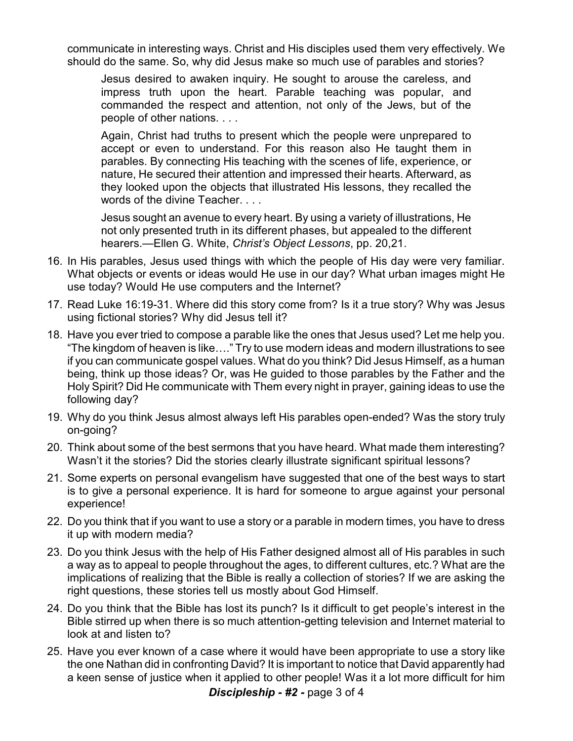communicate in interesting ways. Christ and His disciples used them very effectively. We should do the same. So, why did Jesus make so much use of parables and stories?

Jesus desired to awaken inquiry. He sought to arouse the careless, and impress truth upon the heart. Parable teaching was popular, and commanded the respect and attention, not only of the Jews, but of the people of other nations. . . .

Again, Christ had truths to present which the people were unprepared to accept or even to understand. For this reason also He taught them in parables. By connecting His teaching with the scenes of life, experience, or nature, He secured their attention and impressed their hearts. Afterward, as they looked upon the objects that illustrated His lessons, they recalled the words of the divine Teacher. . . .

Jesus sought an avenue to every heart. By using a variety of illustrations, He not only presented truth in its different phases, but appealed to the different hearers.—Ellen G. White, *Christ's Object Lessons*, pp. 20,21.

- 16. In His parables, Jesus used things with which the people of His day were very familiar. What objects or events or ideas would He use in our day? What urban images might He use today? Would He use computers and the Internet?
- 17. Read Luke 16:19-31. Where did this story come from? Is it a true story? Why was Jesus using fictional stories? Why did Jesus tell it?
- 18. Have you ever tried to compose a parable like the ones that Jesus used? Let me help you. "The kingdom of heaven is like…." Try to use modern ideas and modern illustrations to see if you can communicate gospel values. What do you think? Did Jesus Himself, as a human being, think up those ideas? Or, was He guided to those parables by the Father and the Holy Spirit? Did He communicate with Them every night in prayer, gaining ideas to use the following day?
- 19. Why do you think Jesus almost always left His parables open-ended? Was the story truly on-going?
- 20. Think about some of the best sermons that you have heard. What made them interesting? Wasn't it the stories? Did the stories clearly illustrate significant spiritual lessons?
- 21. Some experts on personal evangelism have suggested that one of the best ways to start is to give a personal experience. It is hard for someone to argue against your personal experience!
- 22. Do you think that if you want to use a story or a parable in modern times, you have to dress it up with modern media?
- 23. Do you think Jesus with the help of His Father designed almost all of His parables in such a way as to appeal to people throughout the ages, to different cultures, etc.? What are the implications of realizing that the Bible is really a collection of stories? If we are asking the right questions, these stories tell us mostly about God Himself.
- 24. Do you think that the Bible has lost its punch? Is it difficult to get people's interest in the Bible stirred up when there is so much attention-getting television and Internet material to look at and listen to?
- 25. Have you ever known of a case where it would have been appropriate to use a story like the one Nathan did in confronting David? It is important to notice that David apparently had a keen sense of justice when it applied to other people! Was it a lot more difficult for him